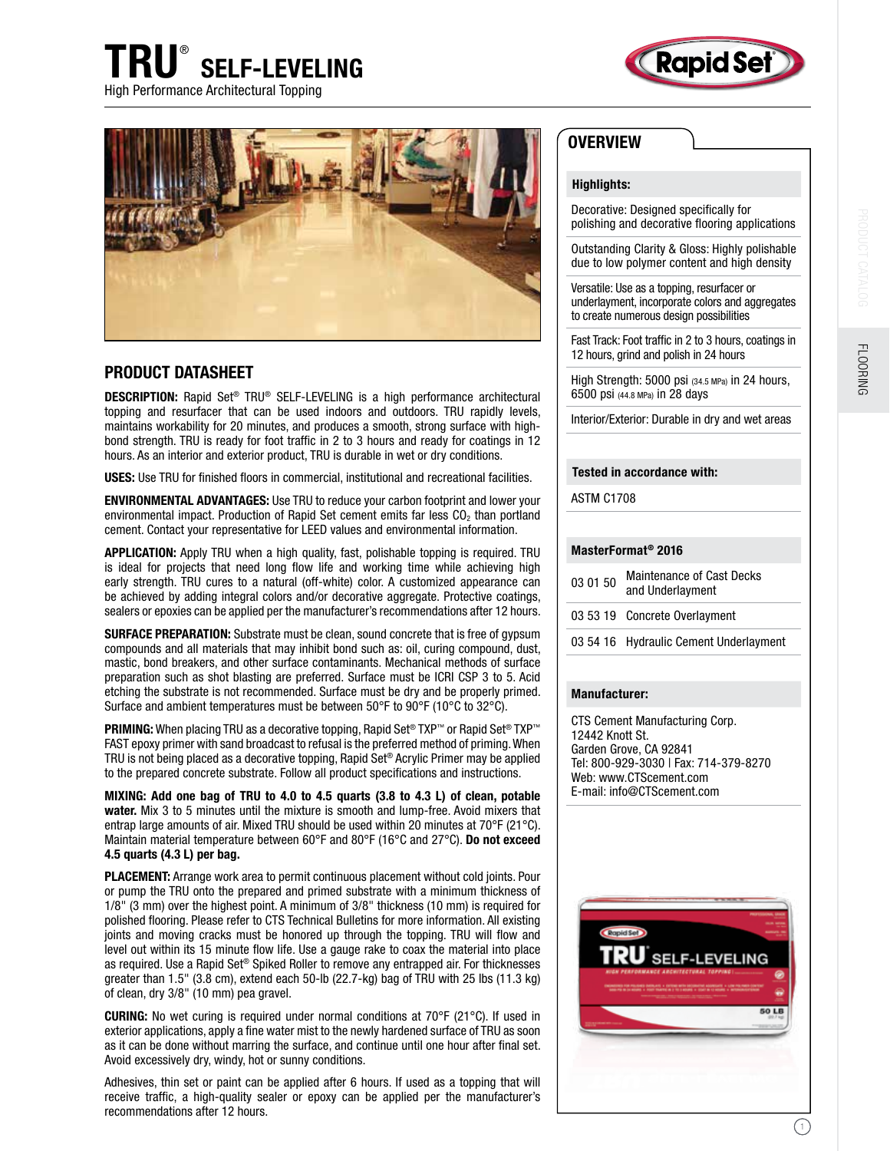





# PRODUCT DATASHEET

DESCRIPTION: Rapid Set® TRU® SELF-LEVELING is a high performance architectural topping and resurfacer that can be used indoors and outdoors. TRU rapidly levels, maintains workability for 20 minutes, and produces a smooth, strong surface with highbond strength. TRU is ready for foot traffic in 2 to 3 hours and ready for coatings in 12 hours. As an interior and exterior product, TRU is durable in wet or dry conditions.

USES: Use TRU for finished floors in commercial, institutional and recreational facilities.

ENVIRONMENTAL ADVANTAGES: Use TRU to reduce your carbon footprint and lower your environmental impact. Production of Rapid Set cement emits far less  $CO<sub>2</sub>$  than portland cement. Contact your representative for LEED values and environmental information.

APPLICATION: Apply TRU when a high quality, fast, polishable topping is required. TRU is ideal for projects that need long flow life and working time while achieving high early strength. TRU cures to a natural (off-white) color. A customized appearance can be achieved by adding integral colors and/or decorative aggregate. Protective coatings, sealers or epoxies can be applied per the manufacturer's recommendations after 12 hours.

SURFACE PREPARATION: Substrate must be clean, sound concrete that is free of gypsum compounds and all materials that may inhibit bond such as: oil, curing compound, dust, mastic, bond breakers, and other surface contaminants. Mechanical methods of surface preparation such as shot blasting are preferred. Surface must be ICRI CSP 3 to 5. Acid etching the substrate is not recommended. Surface must be dry and be properly primed. Surface and ambient temperatures must be between 50°F to 90°F (10°C to 32°C).

**PRIMING:** When placing TRU as a decorative topping, Rapid Set® TXP™ or Rapid Set® TXP™ FAST epoxy primer with sand broadcast to refusal is the preferred method of priming. When TRU is not being placed as a decorative topping, Rapid Set® Acrylic Primer may be applied to the prepared concrete substrate. Follow all product specifications and instructions.

MIXING: Add one bag of TRU to 4.0 to 4.5 quarts (3.8 to 4.3 L) of clean, potable water. Mix 3 to 5 minutes until the mixture is smooth and lump-free. Avoid mixers that entrap large amounts of air. Mixed TRU should be used within 20 minutes at 70°F (21°C). Maintain material temperature between 60°F and 80°F (16°C and 27°C). Do not exceed 4.5 quarts (4.3 L) per bag.

PLACEMENT: Arrange work area to permit continuous placement without cold joints. Pour or pump the TRU onto the prepared and primed substrate with a minimum thickness of 1/8" (3 mm) over the highest point. A minimum of 3/8" thickness (10 mm) is required for polished flooring. Please refer to CTS Technical Bulletins for more information. All existing joints and moving cracks must be honored up through the topping. TRU will flow and level out within its 15 minute flow life. Use a gauge rake to coax the material into place as required. Use a Rapid Set® Spiked Roller to remove any entrapped air. For thicknesses greater than 1.5" (3.8 cm), extend each 50-lb (22.7-kg) bag of TRU with 25 lbs (11.3 kg) of clean, dry 3/8" (10 mm) pea gravel.

CURING: No wet curing is required under normal conditions at 70°F (21°C). If used in exterior applications, apply a fine water mist to the newly hardened surface of TRU as soon as it can be done without marring the surface, and continue until one hour after final set. Avoid excessively dry, windy, hot or sunny conditions.

Adhesives, thin set or paint can be applied after 6 hours. If used as a topping that will receive traffic, a high-quality sealer or epoxy can be applied per the manufacturer's recommendations after 12 hours.

# **OVERVIEW**

## Highlights:

Decorative: Designed specifically for polishing and decorative flooring applications

Outstanding Clarity & Gloss: Highly polishable due to low polymer content and high density

Versatile: Use as a topping, resurfacer or underlayment, incorporate colors and aggregates to create numerous design possibilities

Fast Track: Foot traffic in 2 to 3 hours, coatings in 12 hours, grind and polish in 24 hours

High Strength: 5000 psi (34.5 MPa) in 24 hours, 6500 psi (44.8 MPa) in 28 days

Interior/Exterior: Durable in dry and wet areas

### Tested in accordance with:

ASTM C1708

## MasterFormat® 2016

| 03 01 50 | <b>Maintenance of Cast Decks</b><br>and Underlayment |
|----------|------------------------------------------------------|
|          | 03 53 19 Concrete Overlayment                        |
|          | 03 54 16 Hydraulic Cement Underlayment               |

#### Manufacturer:

CTS Cement Manufacturing Corp. 12442 Knott St. Garden Grove, CA 92841 Tel: 800-929-3030 | Fax: 714-379-8270 Web: www.CTScement.com E-mail: info@CTScement.com